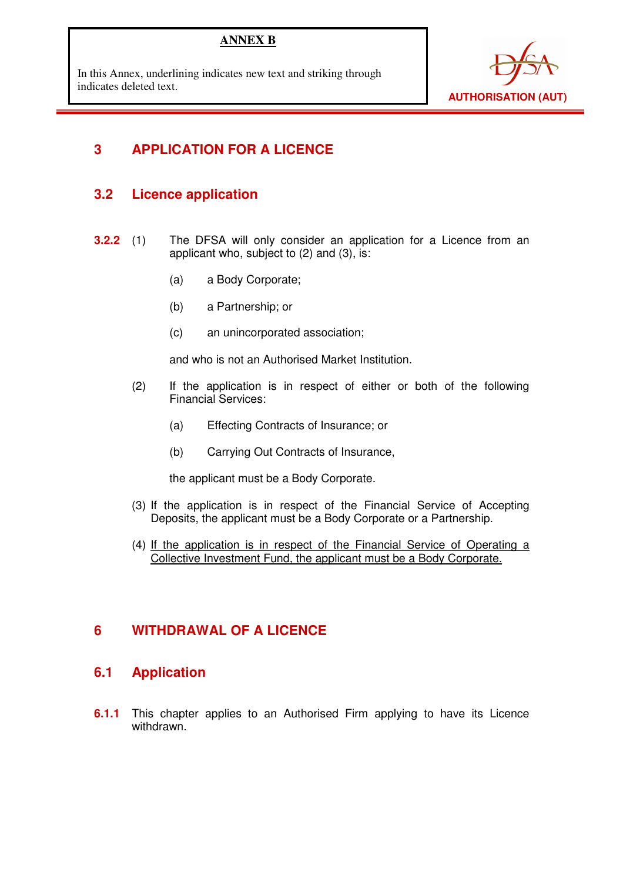## **ANNEX B**

In this Annex, underlining indicates new text and striking through indicates deleted text.



# **3 APPLICATION FOR A LICENCE**

## **3.2 Licence application**

- **3.2.2** (1) The DFSA will only consider an application for a Licence from an applicant who, subject to (2) and (3), is:
	- (a) a Body Corporate;
	- (b) a Partnership; or
	- (c) an unincorporated association;

and who is not an Authorised Market Institution.

- (2) If the application is in respect of either or both of the following Financial Services:
	- (a) Effecting Contracts of Insurance; or
	- (b) Carrying Out Contracts of Insurance,

the applicant must be a Body Corporate.

- (3) If the application is in respect of the Financial Service of Accepting Deposits, the applicant must be a Body Corporate or a Partnership.
- (4) If the application is in respect of the Financial Service of Operating a Collective Investment Fund, the applicant must be a Body Corporate.

## **6 WITHDRAWAL OF A LICENCE**

## **6.1 Application**

**6.1.1** This chapter applies to an Authorised Firm applying to have its Licence withdrawn.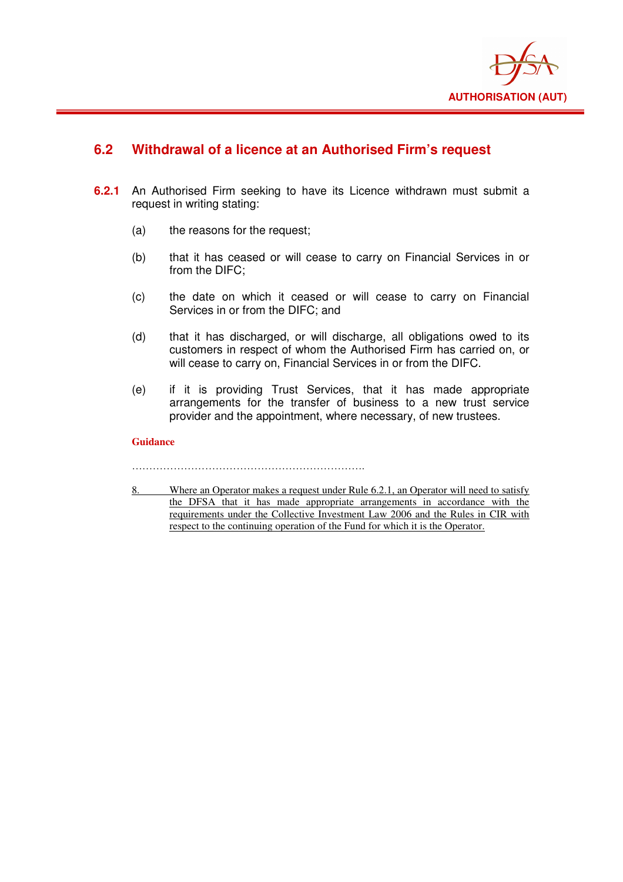

## **6.2 Withdrawal of a licence at an Authorised Firm's request**

- **6.2.1** An Authorised Firm seeking to have its Licence withdrawn must submit a request in writing stating:
	- (a) the reasons for the request;
	- (b) that it has ceased or will cease to carry on Financial Services in or from the DIFC;
	- (c) the date on which it ceased or will cease to carry on Financial Services in or from the DIFC; and
	- (d) that it has discharged, or will discharge, all obligations owed to its customers in respect of whom the Authorised Firm has carried on, or will cease to carry on, Financial Services in or from the DIFC.
	- (e) if it is providing Trust Services, that it has made appropriate arrangements for the transfer of business to a new trust service provider and the appointment, where necessary, of new trustees.

### **Guidance**

8. Where an Operator makes a request under Rule 6.2.1, an Operator will need to satisfy the DFSA that it has made appropriate arrangements in accordance with the requirements under the Collective Investment Law 2006 and the Rules in CIR with respect to the continuing operation of the Fund for which it is the Operator.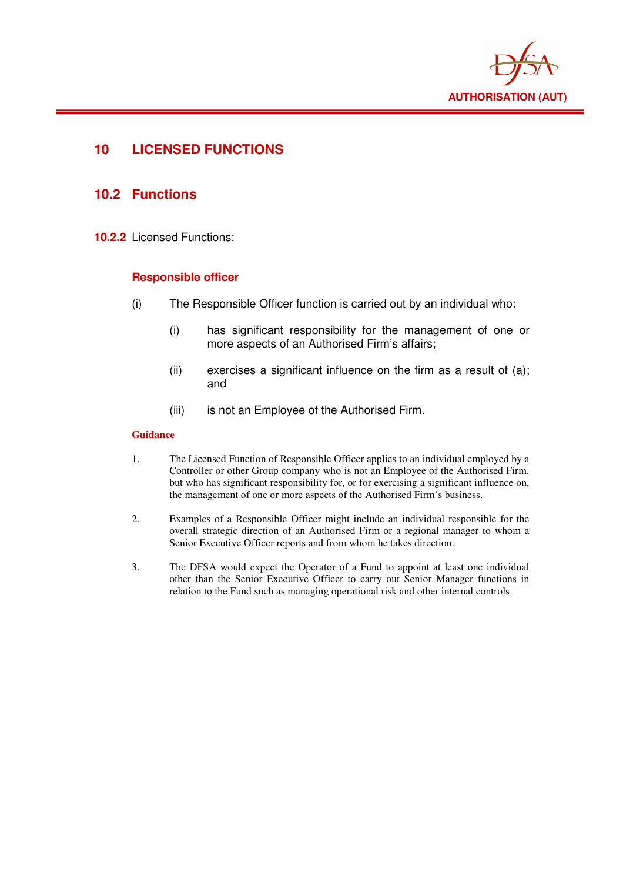

## **10 LICENSED FUNCTIONS**

## **10.2 Functions**

**10.2.2** Licensed Functions:

### **Responsible officer**

- (i) The Responsible Officer function is carried out by an individual who:
	- (i) has significant responsibility for the management of one or more aspects of an Authorised Firm's affairs;
	- $(ii)$  exercises a significant influence on the firm as a result of  $(a)$ ; and
	- (iii) is not an Employee of the Authorised Firm.

#### **Guidance**

- 1. The Licensed Function of Responsible Officer applies to an individual employed by a Controller or other Group company who is not an Employee of the Authorised Firm, but who has significant responsibility for, or for exercising a significant influence on, the management of one or more aspects of the Authorised Firm's business.
- 2. Examples of a Responsible Officer might include an individual responsible for the overall strategic direction of an Authorised Firm or a regional manager to whom a Senior Executive Officer reports and from whom he takes direction.
- 3. The DFSA would expect the Operator of a Fund to appoint at least one individual other than the Senior Executive Officer to carry out Senior Manager functions in relation to the Fund such as managing operational risk and other internal controls